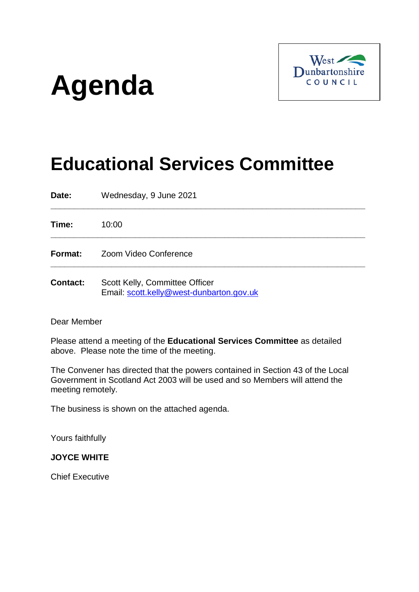# **Agenda**



# **Educational Services Committee**

**\_\_\_\_\_\_\_\_\_\_\_\_\_\_\_\_\_\_\_\_\_\_\_\_\_\_\_\_\_\_\_\_\_\_\_\_\_\_\_\_\_\_\_\_\_\_\_\_\_\_\_\_\_\_\_\_\_\_\_\_\_\_\_\_\_\_\_**

**\_\_\_\_\_\_\_\_\_\_\_\_\_\_\_\_\_\_\_\_\_\_\_\_\_\_\_\_\_\_\_\_\_\_\_\_\_\_\_\_\_\_\_\_\_\_\_\_\_\_\_\_\_\_\_\_\_\_\_\_\_\_\_\_\_\_\_**

**\_\_\_\_\_\_\_\_\_\_\_\_\_\_\_\_\_\_\_\_\_\_\_\_\_\_\_\_\_\_\_\_\_\_\_\_\_\_\_\_\_\_\_\_\_\_\_\_\_\_\_\_\_\_\_\_\_\_\_\_\_\_\_\_\_\_\_**

**Date:** Wednesday, 9 June 2021

**Time:** 10:00

**Format:** Zoom Video Conference

**Contact:** Scott Kelly, Committee Officer Email: [scott.kelly@west-dunbarton.gov.uk](mailto:scott.kelly@west-dunbarton.gov.uk)

Dear Member

Please attend a meeting of the **Educational Services Committee** as detailed above. Please note the time of the meeting.

The Convener has directed that the powers contained in Section 43 of the Local Government in Scotland Act 2003 will be used and so Members will attend the meeting remotely.

The business is shown on the attached agenda.

Yours faithfully

# **JOYCE WHITE**

Chief Executive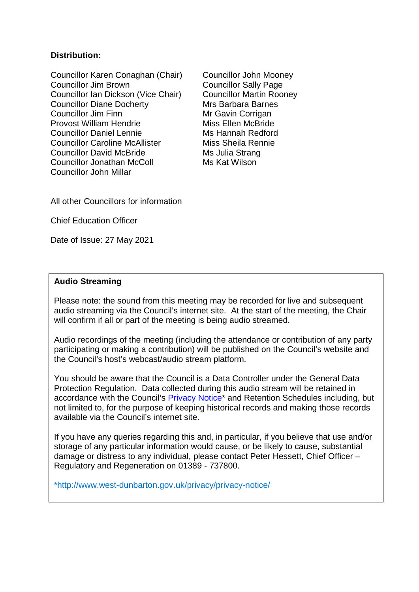# **Distribution:**

Councillor Karen Conaghan (Chair) Councillor John Mooney Councillor Jim Brown Councillor Sally Page Councillor Ian Dickson (Vice Chair) Councillor Martin Rooney<br>Councillor Diane Docherty Mrs Barbara Barnes Councillor Diane Docherty<br>Councillor Jim Finn Provost William Hendrie Miss Ellen McBride Councillor Daniel Lennie Ms Hannah Redford Councillor Caroline McAllister Miss Sheila Rennie Councillor David McBride Ms Julia Strang Councillor Jonathan McColl Ms Kat Wilson Councillor John Millar

Mr Gavin Corrigan

All other Councillors for information

Chief Education Officer

Date of Issue: 27 May 2021

# **Audio Streaming**

Please note: the sound from this meeting may be recorded for live and subsequent audio streaming via the Council's internet site. At the start of the meeting, the Chair will confirm if all or part of the meeting is being audio streamed.

Audio recordings of the meeting (including the attendance or contribution of any party participating or making a contribution) will be published on the Council's website and the Council's host's webcast/audio stream platform.

You should be aware that the Council is a Data Controller under the General Data Protection Regulation. Data collected during this audio stream will be retained in accordance with the Council's [Privacy Notice\\*](http://www.west-dunbarton.gov.uk/privacy/privacy-notice/) and Retention Schedules including, but not limited to, for the purpose of keeping historical records and making those records available via the Council's internet site.

If you have any queries regarding this and, in particular, if you believe that use and/or storage of any particular information would cause, or be likely to cause, substantial damage or distress to any individual, please contact Peter Hessett, Chief Officer – Regulatory and Regeneration on 01389 - 737800.

\*http://www.west-dunbarton.gov.uk/privacy/privacy-notice/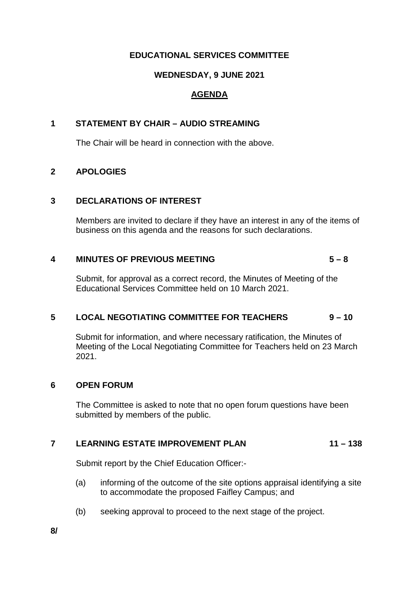# **EDUCATIONAL SERVICES COMMITTEE**

# **WEDNESDAY, 9 JUNE 2021**

# **AGENDA**

# **1 STATEMENT BY CHAIR – AUDIO STREAMING**

The Chair will be heard in connection with the above.

# **2 APOLOGIES**

#### **3 DECLARATIONS OF INTEREST**

Members are invited to declare if they have an interest in any of the items of business on this agenda and the reasons for such declarations.

# **4 MINUTES OF PREVIOUS MEETING 5 – 8**

Submit, for approval as a correct record, the Minutes of Meeting of the Educational Services Committee held on 10 March 2021.

# **5 LOCAL NEGOTIATING COMMITTEE FOR TEACHERS 9 – 10**

Submit for information, and where necessary ratification, the Minutes of Meeting of the Local Negotiating Committee for Teachers held on 23 March 2021.

# **6 OPEN FORUM**

The Committee is asked to note that no open forum questions have been submitted by members of the public.

# **7 LEARNING ESTATE IMPROVEMENT PLAN 11 – 138**

Submit report by the Chief Education Officer:-

- (a) informing of the outcome of the site options appraisal identifying a site to accommodate the proposed Faifley Campus; and
- (b) seeking approval to proceed to the next stage of the project.

**8/**